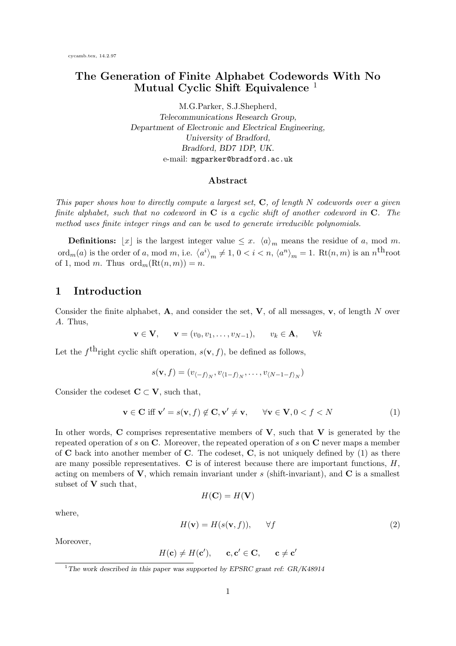# The Generation of Finite Alphabet Codewords With No Mutual Cyclic Shift Equivalence<sup>1</sup>

M.G.Parker, S.J.Shepherd, Telecommunications Research Group, Department of Electronic and Electrical Engineering, University of Bradford, Bradford, BD7 1DP, UK. e-mail: mgparker@bradford.ac.uk

#### Abstract

This paper shows how to directly compute a largest set,  $C$ , of length N codewords over a given finite alphabet, such that no codeword in  $C$  is a cyclic shift of another codeword in  $C$ . The method uses finite integer rings and can be used to generate irreducible polynomials.

**Definitions:**  $\lfloor x \rfloor$  is the largest integer value  $\leq x$ .  $\langle a \rangle_m$  means the residue of a, mod m.  $\mathrm{ord}_m(a)$  is the order of a, mod m, i.e.  $\langle a^i \rangle_m \neq 1, 0 < i < n, \langle a^n \rangle_m = 1$ . Rt $(n, m)$  is an  $n^{\text{th}}$ root of 1, mod m. Thus  $\operatorname{ord}_m(\operatorname{Rt}(n,m)) = n$ .

#### 1 Introduction

Consider the finite alphabet,  $\bf{A}$ , and consider the set,  $\bf{V}$ , of all messages,  $\bf{v}$ , of length N over A. Thus,

$$
\mathbf{v} \in \mathbf{V}, \quad \mathbf{v} = (v_0, v_1, \dots, v_{N-1}), \quad v_k \in \mathbf{A}, \quad \forall k
$$

Let the  $f<sup>th</sup>$ right cyclic shift operation,  $s(\mathbf{v}, f)$ , be defined as follows,

$$
s(\mathbf{v},f)=(v_{\langle -f \rangle_N},v_{\langle 1-f \rangle_N},\ldots,v_{\langle N-1-f \rangle_N})
$$

Consider the codeset  $C \subset V$ , such that,

$$
\mathbf{v} \in \mathbf{C} \text{ iff } \mathbf{v}' = s(\mathbf{v}, f) \notin \mathbf{C}, \mathbf{v}' \neq \mathbf{v}, \qquad \forall \mathbf{v} \in \mathbf{V}, 0 < f < N \tag{1}
$$

In other words, C comprises representative members of  $V$ , such that  $V$  is generated by the repeated operation of s on C. Moreover, the repeated operation of s on C never maps a member of  $C$  back into another member of  $C$ . The codeset,  $C$ , is not uniquely defined by (1) as there are many possible representatives.  $C$  is of interest because there are important functions,  $H$ , acting on members of  $V$ , which remain invariant under s (shift-invariant), and  $C$  is a smallest subset of  $V$  such that,

$$
H(\mathbf{C}) = H(\mathbf{V})
$$

where,

$$
H(\mathbf{v}) = H(s(\mathbf{v}, f)), \qquad \forall f \tag{2}
$$

Moreover,

$$
H(\mathbf{c}) \neq H(\mathbf{c}'), \qquad \mathbf{c}, \mathbf{c}' \in \mathbf{C}, \qquad \mathbf{c} \neq \mathbf{c}'
$$

<sup>&</sup>lt;sup>1</sup>The work described in this paper was supported by EPSRC grant ref:  $GR/K48914$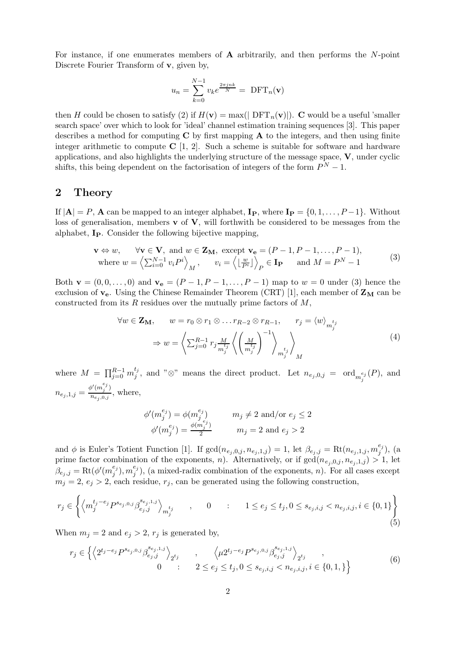For instance, if one enumerates members of  $A$  arbitrarily, and then performs the  $N$ -point Discrete Fourier Transform of **v**, given by,

$$
u_n = \sum_{k=0}^{N-1} v_k e^{\frac{2\pi jnk}{N}} = \text{DFT}_n(\mathbf{v})
$$

then H could be chosen to satisfy (2) if  $H(\mathbf{v}) = \max(|\text{ DFT}_n(\mathbf{v})|)$ . C would be a useful 'smaller search space' over which to look for 'ideal' channel estimation training sequences [3]. This paper describes a method for computing  $C$  by first mapping  $A$  to the integers, and then using finite integer arithmetic to compute  $C$  [1, 2]. Such a scheme is suitable for software and hardware applications, and also highlights the underlying structure of the message space,  $V$ , under cyclic shifts, this being dependent on the factorisation of integers of the form  $P^{N} - 1$ .

#### 2 Theory

If  $|{\bf A}| = P$ , **A** can be mapped to an integer alphabet,  ${\bf I}_P$ , where  ${\bf I}_P = \{0, 1, \ldots, P-1\}$ . Without loss of generalisation, members  $\bf{v}$  of  $\bf{V}$ , will forthwith be considered to be messages from the alphabet, IP. Consider the following bijective mapping,

$$
\mathbf{v} \Leftrightarrow w, \quad \forall \mathbf{v} \in \mathbf{V}, \text{ and } w \in \mathbf{Z_M}, \text{ except } \mathbf{v_e} = (P - 1, P - 1, \dots, P - 1),
$$
  
where 
$$
w = \left\langle \sum_{i=0}^{N-1} v_i P^i \right\rangle_M, \quad v_i = \left\langle \left\lfloor \frac{w}{P^i} \right\rfloor \right\rangle_P \in \mathbf{I_P} \quad \text{and } M = P^N - 1
$$
 (3)

Both  $\mathbf{v} = (0, 0, \dots, 0)$  and  $\mathbf{v}_e = (P - 1, P - 1, \dots, P - 1)$  map to  $w = 0$  under (3) hence the exclusion of  $v_e$ . Using the Chinese Remainder Theorem (CRT) [1], each member of  $Z_M$  can be constructed from its R residues over the mutually prime factors of  $M$ ,

$$
\forall w \in \mathbf{Z_M}, \qquad w = r_0 \otimes r_1 \otimes \dots r_{R-2} \otimes r_{R-1}, \qquad r_j = \langle w \rangle_{m_j^{t_j}} \newline \Rightarrow w = \left\langle \sum_{j=0}^{R-1} r_j \frac{M}{m_j^{t_j}} \left\langle \left(\frac{M}{m_j^{t_j}}\right)^{-1} \right\rangle_{m_j^{t_j}} \right\rangle_M
$$
\n(4)

where  $M = \prod_{j=0}^{R-1} m_j^{t_j}$  $j$ , and " $\otimes$ " means the direct product. Let  $n_{e_j,0,j} = \text{ord}_{m_j^{e_j}}(P)$ , and  $n_{e_j,1,j} = \frac{\phi'(m_j^{e_j})}{n_{e_j,0,j}}$  $\frac{\sum_{j=1}^{N} m_j}{n_{e_j,0,j}},$  where,

$$
\phi'(m_j^{e_j}) = \phi(m_j^{e_j}) \qquad m_j \neq 2 \text{ and/or } e_j \leq 2
$$
  

$$
\phi'(m_j^{e_j}) = \frac{\phi(m_j^{e_j})}{2} \qquad m_j = 2 \text{ and } e_j > 2
$$

and φ is Euler's Totient Function [1]. If  $gcd(n_{e_j, 0, j}, n_{e_j, 1, j}) = 1$ , let  $\beta_{e_j, j} = \text{Rt}(n_{e_j, 1, j}, m_j^{e_j})$  $_j^{\epsilon_j}),\ ( \mathrm{a}$ prime factor combination of the exponents, n). Alternatively, or if  $gcd(n_{e_j,0,j}, n_{e_j,1,j}) > 1$ , let  $\beta_{e_j,j} = \text{Rt}(\phi'(m_j^{e_j}))$  $_j^{e_j}), m_j^{e_j}$  $j^{e_j}$ ), (a mixed-radix combination of the exponents, n). For all cases except  $m_j = 2, e_j > 2$ , each residue,  $r_j$ , can be generated using the following construction,

$$
r_j \in \left\{ \left\langle m_j^{t_j - e_j} P^{s_{e_j,0,j}} \beta_{e_j,j}^{s_{e_j,1,j}} \right\rangle_{m_j^{t_j}} \quad , \quad 0 \quad : \quad 1 \le e_j \le t_j, 0 \le s_{e_j,i,j} < n_{e_j,i,j}, i \in \{0,1\} \right\}
$$
(5)

When  $m_j = 2$  and  $e_j > 2$ ,  $r_j$  is generated by,

$$
r_j \in \left\{ \left\langle 2^{t_j - e_j} P^{s_{e_j,0,j}} \beta_{e_j,j}^{s_{e_j,1,j}} \right\rangle_{2^{t_j}}, \quad \left\langle \mu 2^{t_j - e_j} P^{s_{e_j,0,j}} \beta_{e_j,j}^{s_{e_j,1,j}} \right\rangle_{2^{t_j}}, 0 \quad : \quad 2 \le e_j \le t_j, 0 \le s_{e_j,i,j} < n_{e_j,i,j}, i \in \{0,1,\}\right\}
$$
(6)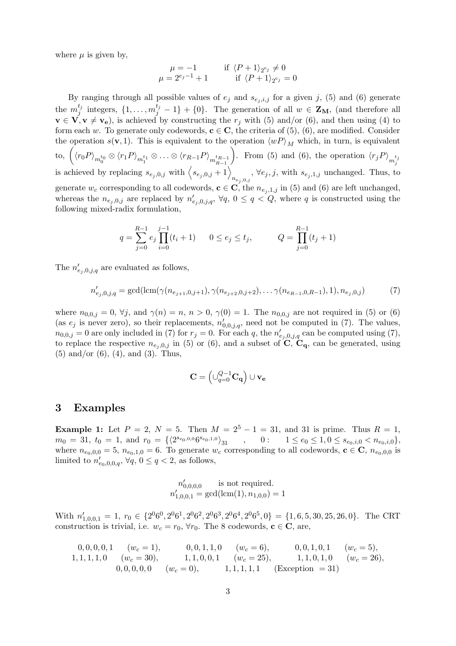where  $\mu$  is given by,

$$
\mu = -1 \quad \text{if } \langle P+1 \rangle_{2^{e_j}} \neq 0
$$
  

$$
\mu = 2^{e_j - 1} + 1 \quad \text{if } \langle P+1 \rangle_{2^{e_j}} = 0
$$

By ranging through all possible values of  $e_j$  and  $s_{e_j,i,j}$  for a given j, (5) and (6) generate the  $m_j^{t_j}$  $j_j^{t_j}$  integers,  $\{1,\ldots,m_j^{t_j}-1\}+\{0\}$ . The generation of all  $w \in \mathbf{Z_M}$ , (and therefore all  $\mathbf{v} \in \mathbf{V}, \mathbf{v} \neq \mathbf{v_e}$ , is achieved by constructing the  $r_j$  with (5) and/or (6), and then using (4) to form each w. To generate only codewords,  $c \in C$ , the criteria of (5), (6), are modified. Consider the operation  $s(\mathbf{v}, 1)$ . This is equivalent to the operation  $\langle wP \rangle_M$  which, in turn, is equivalent  $\hbox{to, } \left(\left\langle r_0P \right\rangle_{m_0^{t_0}} \otimes \left\langle r_1P \right\rangle_{m_1^{t_1}} \otimes \ldots \otimes \left\langle r_{R-1}P \right\rangle_{m_{R-1}^{t_{R-1}}}$ to,  $(\langle r_0 P \rangle_{m_0^{t_0}} \otimes \langle r_1 P \rangle_{m_1^{t_1}} \otimes \ldots \otimes \langle r_{R-1} P \rangle_{m_{R-1}^{t_{R-1}}})$ . From (5) and (6), the operation  $\langle r_j P \rangle_{m_j^{t_j}}$ <br>is achieved by replacing  $s_{e_j,0,j}$  with  $\langle s_{e_j,0,j} + 1 \rangle$ ,  $\forall e_j, j$ , with  $s_{e_j,1,j}$  unchan  $n_{e_j,0,j}$ ,  $\forall e_j, j$ , with  $s_{e_j,1,j}$  unchanged. Thus, to generate  $w_c$  corresponding to all codewords,  $\mathbf{c} \in \mathbf{C}$ , the  $n_{e_i,1,j}$  in (5) and (6) are left unchanged, whereas the  $n_{e_j,0,j}$  are replaced by  $n'_{e_j,0,j,q}$ ,  $\forall q, 0 \leq q < Q$ , where q is constructed using the following mixed-radix formulation,

$$
q = \sum_{j=0}^{R-1} e_j \prod_{i=0}^{j-1} (t_i + 1) \qquad 0 \le e_j \le t_j, \qquad Q = \prod_{j=0}^{R-1} (t_j + 1)
$$

The  $n'_{e_j,0,j,q}$  are evaluated as follows,

$$
n'_{e_j,0,j,q} = \gcd(\text{lcm}(\gamma(n_{e_{j+1},0,j+1}), \gamma(n_{e_{j+2},0,j+2}), \dots \gamma(n_{e_{R-1},0,R-1}), 1), n_{e_j,0,j})
$$
(7)

where  $n_{0,0,j} = 0$ ,  $\forall j$ , and  $\gamma(n) = n$ ,  $n > 0$ ,  $\gamma(0) = 1$ . The  $n_{0,0,j}$  are not required in (5) or (6) (as  $e_j$  is never zero), so their replacements,  $n'_{0,0,j,q}$ , need not be computed in (7). The values,  $n_{0,0,j} = 0$  are only included in (7) for  $r_j = 0$ . For each q, the  $n'_{e_j,0,j,q}$  can be computed using (7), to replace the respective  $n_{e_j,0,j}$  in (5) or (6), and a subset of C, C<sub>q</sub>, can be generated, using (5) and/or (6), (4), and (3). Thus,

$$
\mathbf{C} = \left( \cup_{q=0}^{Q-1} \mathbf{C_q} \right) \cup \mathbf{v_e}
$$

#### 3 Examples

**Example 1:** Let  $P = 2$ ,  $N = 5$ . Then  $M = 2^5 - 1 = 31$ , and 31 is prime. Thus  $R = 1$ ,  $m_0 = 31, t_0 = 1, \text{ and } r_0 = \{ \langle 2^{s_{e_0,0,0}} 6^{s_{e_0,1,0}} \rangle_{31}$ ,  $0: 1 \le e_0 \le 1, 0 \le s_{e_0,i,0} < n_{e_0,i,0} \},$ where  $n_{e_0,0,0} = 5$ ,  $n_{e_0,1,0} = 6$ . To generate  $w_c$  corresponding to all codewords,  $\mathbf{c} \in \mathbf{C}$ ,  $n_{e_0,0,0}$  is limited to  $n'_{e_0,0,0,q}$ ,  $\forall q, 0 \le q < 2$ , as follows,

$$
n'_{0,0,0,0}
$$
 is not required.  

$$
n'_{1,0,0,1} = \gcd(\text{lcm}(1), n_{1,0,0}) = 1
$$

With  $n'_{1,0,0,1} = 1$ ,  $r_0 \in \{2^06^0, 2^06^1, 2^06^2, 2^06^3, 2^06^4, 2^06^5, 0\} = \{1, 6, 5, 30, 25, 26, 0\}$ . The CRT construction is trivial, i.e.  $w_c = r_0$ ,  $\forall r_0$ . The 8 codewords,  $\mathbf{c} \in \mathbf{C}$ , are,

$$
\begin{array}{cccccc}\n0,0,0,0,1 & (w_c = 1), & 0,0,1,1,0 & (w_c = 6), & 0,0,1,0,1 & (w_c = 5), \\
1,1,1,1,0 & (w_c = 30), & 1,1,0,0,1 & (w_c = 25), & 1,1,0,1,0 & (w_c = 26), \\
0,0,0,0,0 & (w_c = 0), & 1,1,1,1,1 & \text{(Exception = 31)}\n\end{array}
$$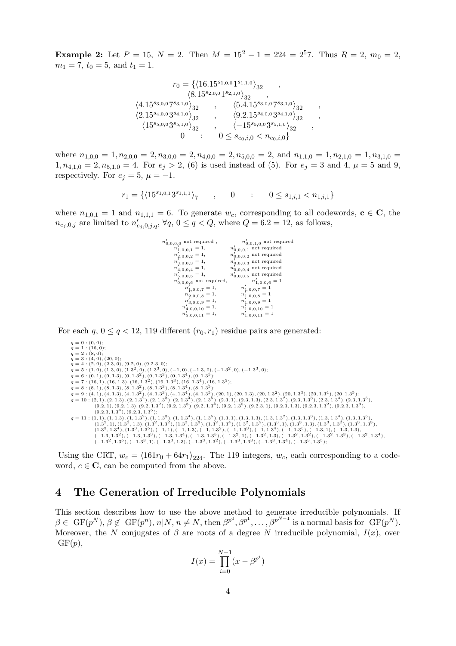**Example 2:** Let  $P = 15$ ,  $N = 2$ . Then  $M = 15^2 - 1 = 224 = 2^57$ . Thus  $R = 2$ ,  $m_0 = 2$ ,  $m_1 = 7$ ,  $t_0 = 5$ , and  $t_1 = 1$ .

$$
r_0 = \{ \langle 16.15^{s_{1,0,0}} 1^{s_{1,1,0}} \rangle_{32} ,\,
$$
  
\n
$$
\langle 8.15^{s_{2,0,0}} 1^{s_{2,1,0}} \rangle_{32} ,\,
$$
  
\n
$$
\langle 4.15^{s_{3,0,0}} 7^{s_{3,1,0}} \rangle_{32} ,\,
$$
  
\n
$$
\langle 2.15^{s_{4,0,0}} 3^{s_{4,1,0}} \rangle_{32} ,\,
$$
  
\n
$$
\langle 2.15^{s_{4,0,0}} 3^{s_{4,1,0}} \rangle_{32} ,\,
$$
  
\n
$$
\langle 15^{s_{5,0,0}} 3^{s_{5,1,0}} \rangle_{32} ,\,
$$
  
\n
$$
\langle -15^{s_{5,0,0}} 3^{s_{5,1,0}} \rangle_{32} ,\,
$$
  
\n
$$
0 \le s_{e_0,i,0} < n_{e_0,i,0}
$$

where  $n_{1,0,0} = 1, n_{2,0,0} = 2, n_{3,0,0} = 2, n_{4,0,0} = 2, n_{5,0,0} = 2, \text{ and } n_{1,1,0} = 1, n_{2,1,0} = 1, n_{3,1,0} =$  $1, n_{4,1,0} = 2, n_{5,1,0} = 4$ . For  $e_j > 2$ , (6) is used instead of (5). For  $e_j = 3$  and 4,  $\mu = 5$  and 9, respectively. For  $e_i = 5$ ,  $\mu = -1$ .

$$
r_1 = \{ \langle 15^{s_{1,0,1}} 3^{s_{1,1,1}} \rangle_7 \qquad , \qquad 0 \qquad : \qquad 0 \le s_{1,i,1} < n_{1,i,1} \}
$$

where  $n_{1,0,1} = 1$  and  $n_{1,1,1} = 6$ . To generate  $w_c$ , corresponding to all codewords,  $\mathbf{c} \in \mathbf{C}$ , the  $n_{e_j,0,j}$  are limited to  $n'_{e_j,0,j,q}$ ,  $\forall q, 0 \le q < Q$ , where  $Q = 6.2 = 12$ , as follows,

| $n'_{0,0,0,0}$ not required,       | $n'_{0,0,1,0}$ not required                |
|------------------------------------|--------------------------------------------|
| $n'_{1,0,0,1} = 1,$                | $n'_{0,0,0,1}$ not required                |
| $n'_{2,0,0,2} = 1,$                | $n'_{0,0,0,2}$ not required                |
| $n'_{3,0,0,3} = 1,$                | $n^\prime_{0,0,0,3}$ not required          |
| $n'_{4,0,0,4} = 1,$                | $n_{0,0,0,4}^{\prime}$ not required        |
| $n'_{5,0,0,5} = 1,$                | $n^\prime_{0,0,0,5}$ not required          |
| $n^\prime_{0,0,0,6}$ not required, | $n'_{1,0,0,6} = 1$                         |
| $n'_{1,0,0,7} = 1,$                | $n'_{1,0,0,7} = 1$                         |
| $n'_{2,0,0,8} = 1,$                | $n'_{1,0,0,8} = 1$                         |
| $n_{3,0,0,9}'=1, \label{eq:12}$    | $n'_{1,0,0,9} = 1$                         |
| $n'_{4,0,0,10} = 1,$               |                                            |
| $n'_{5,0,0,11} = 1,$               | $n'_{1,0,0,10} = 1$<br>$n'_{1,0,0,11} = 1$ |

For each  $q, 0 \leq q < 12, 119$  different  $(r_0, r_1)$  residue pairs are generated:

- 
- 
- 
- 
- 
- 
- 
- 
- $\begin{aligned} q&=0:(0,0);\\ q&=1:(16,0);\\ q&=4:(4,0),(0,0);\\ q&=4:(2,0),(0,2,3,0),(0,2,3,0);\\ q&=4:(2,0),(0,2,3,0),(0,3,3),(0,1,3^3),(0,1,3^4),(0,1,3^5);\\ q&=6:(0,1),(0,1,3),(0,1,3^2),(0,1,3^3),(0,1,3^4),(0,1,3^5);\\ q&=6:(0,1),(0,1,3),(0,1,3^2),(0,1,3^3),(0,1,3^4),(0,1,3^5);\\ q&=7:(16,1),($

Using the CRT,  $w_c = \langle 161r_0 + 64r_1 \rangle_{224}$ . The 119 integers,  $w_c$ , each corresponding to a codeword,  $c \in \mathbb{C}$ , can be computed from the above.

## 4 The Generation of Irreducible Polynomials

This section describes how to use the above method to generate irreducible polynomials. If  $\beta \in \mathcal{GF}(p^N), \beta \notin \mathcal{GF}(p^n), n | N, n \neq N, \text{ then } \beta^{p^0}, \beta^{p^1}, \ldots, \beta^{p^{N-1}} \text{ is a normal basis for } \mathcal{GF}(p^N).$ Moreover, the N conjugates of  $\beta$  are roots of a degree N irreducible polynomial,  $I(x)$ , over  $GF(p),$ 

$$
I(x) = \prod_{i=0}^{N-1} (x - \beta^{p^i})
$$